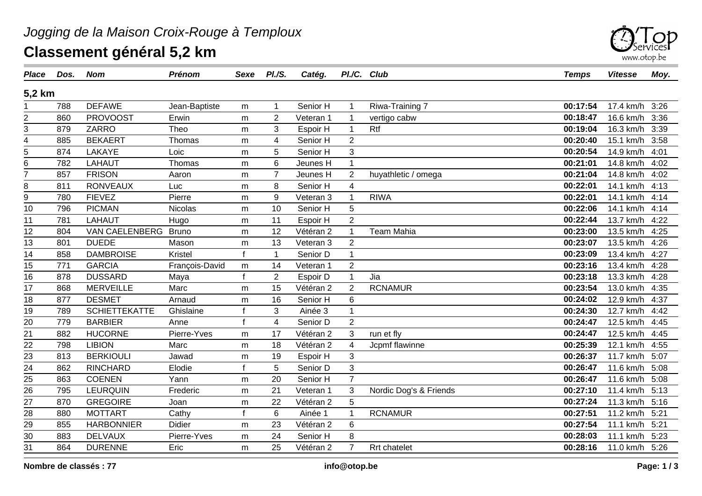

## **Classement général 5,2 km**

| <b>Place</b>     | Dos. | <b>Nom</b>            | <b>Prénom</b>  | Sexe         | <i>PI./S.</i>  | Catég.    |                | PI./C. Club            | <b>Temps</b> | <b>Vitesse</b> | Moy. |
|------------------|------|-----------------------|----------------|--------------|----------------|-----------|----------------|------------------------|--------------|----------------|------|
| 5,2 km           |      |                       |                |              |                |           |                |                        |              |                |      |
|                  | 788  | <b>DEFAWE</b>         | Jean-Baptiste  | m            | 1              | Senior H  | $\mathbf{1}$   | Riwa-Training 7        | 00:17:54     | 17.4 km/h 3:26 |      |
| $\overline{2}$   | 860  | <b>PROVOOST</b>       | Erwin          | m            | $\overline{2}$ | Veteran 1 | $\mathbf 1$    | vertigo cabw           | 00:18:47     | 16.6 km/h 3:36 |      |
| 3                | 879  | <b>ZARRO</b>          | Theo           | m            | 3              | Espoir H  | $\mathbf 1$    | Rtf                    | 00:19:04     | 16.3 km/h 3:39 |      |
| $\overline{4}$   | 885  | <b>BEKAERT</b>        | Thomas         | m            | $\overline{4}$ | Senior H  | $\overline{2}$ |                        | 00:20:40     | 15.1 km/h      | 3:58 |
| 5                | 874  | LAKAYE                | Loic           | m            | 5              | Senior H  | 3              |                        | 00:20:54     | 14.9 km/h      | 4:01 |
| 6                | 782  | <b>LAHAUT</b>         | Thomas         | m            | 6              | Jeunes H  | $\mathbf{1}$   |                        | 00:21:01     | 14.8 km/h      | 4:02 |
| $\overline{7}$   | 857  | <b>FRISON</b>         | Aaron          | m            | $\overline{7}$ | Jeunes H  | $\overline{2}$ | huyathletic / omega    | 00:21:04     | 14.8 km/h      | 4:02 |
| 8                | 811  | <b>RONVEAUX</b>       | Luc            | m            | 8              | Senior H  | 4              |                        | 00:22:01     | 14.1 km/h      | 4:13 |
| $\boldsymbol{9}$ | 780  | <b>FIEVEZ</b>         | Pierre         | m            | 9              | Veteran 3 | $\mathbf 1$    | <b>RIWA</b>            | 00:22:01     | 14.1 km/h      | 4:14 |
| 10               | 796  | <b>PICMAN</b>         | <b>Nicolas</b> | m            | 10             | Senior H  | 5              |                        | 00:22:06     | 14.1 km/h      | 4:14 |
| 11               | 781  | <b>LAHAUT</b>         | Hugo           | m            | 11             | Espoir H  | $\overline{2}$ |                        | 00:22:44     | 13.7 km/h      | 4:22 |
| 12               | 804  | <b>VAN CAELENBERG</b> | <b>Bruno</b>   | m            | 12             | Vétéran 2 | $\mathbf{1}$   | <b>Team Mahia</b>      | 00:23:00     | 13.5 km/h      | 4:25 |
| 13               | 801  | <b>DUEDE</b>          | Mason          | m            | 13             | Veteran 3 | 2              |                        | 00:23:07     | 13.5 km/h      | 4:26 |
| 14               | 858  | <b>DAMBROISE</b>      | <b>Kristel</b> | $\mathsf{f}$ | $\mathbf{1}$   | Senior D  | $\mathbf{1}$   |                        | 00:23:09     | 13.4 km/h      | 4:27 |
| 15               | 771  | <b>GARCIA</b>         | François-David | m            | 14             | Veteran 1 | $\overline{2}$ |                        | 00:23:16     | 13.4 km/h      | 4:28 |
| 16               | 878  | <b>DUSSARD</b>        | Maya           |              | $\overline{2}$ | Espoir D  | 1              | Jia                    | 00:23:18     | 13.3 km/h      | 4:28 |
| 17               | 868  | <b>MERVEILLE</b>      | Marc           | m            | 15             | Vétéran 2 | $\overline{2}$ | <b>RCNAMUR</b>         | 00:23:54     | 13.0 km/h      | 4:35 |
| 18               | 877  | <b>DESMET</b>         | Arnaud         | m            | 16             | Senior H  | 6              |                        | 00:24:02     | 12.9 km/h      | 4:37 |
| 19               | 789  | <b>SCHIETTEKATTE</b>  | Ghislaine      |              | 3              | Ainée 3   | $\mathbf{1}$   |                        | 00:24:30     | 12.7 km/h      | 4:42 |
| 20               | 779  | <b>BARBIER</b>        | Anne           | $\mathbf{f}$ | 4              | Senior D  | $\overline{2}$ |                        | 00:24:47     | 12.5 km/h      | 4:45 |
| 21               | 882  | <b>HUCORNE</b>        | Pierre-Yves    | m            | 17             | Vétéran 2 | 3              | run et fly             | 00:24:47     | 12.5 km/h 4:45 |      |
| 22               | 798  | <b>LIBION</b>         | Marc           | m            | 18             | Vétéran 2 | 4              | Jcpmf flawinne         | 00:25:39     | 12.1 km/h      | 4:55 |
| 23               | 813  | <b>BERKIOULI</b>      | Jawad          | m            | 19             | Espoir H  | 3              |                        | 00:26:37     | 11.7 km/h      | 5:07 |
| $\overline{24}$  | 862  | <b>RINCHARD</b>       | Elodie         | $\mathbf{f}$ | 5              | Senior D  | 3              |                        | 00:26:47     | 11.6 km/h      | 5:08 |
| 25               | 863  | <b>COENEN</b>         | Yann           | m            | 20             | Senior H  | $\overline{7}$ |                        | 00:26:47     | 11.6 km/h      | 5:08 |
| 26               | 795  | LEURQUIN              | Frederic       | m            | 21             | Veteran 1 | 3              | Nordic Dog's & Friends | 00:27:10     | 11.4 km/h 5:13 |      |
| 27               | 870  | <b>GREGOIRE</b>       | Joan           | m            | 22             | Vétéran 2 | 5              |                        | 00:27:24     | 11.3 km/h      | 5:16 |
| 28               | 880  | <b>MOTTART</b>        | Cathy          | $\mathbf{f}$ | 6              | Ainée 1   | $\mathbf 1$    | <b>RCNAMUR</b>         | 00:27:51     | 11.2 km/h      | 5:21 |
| 29               | 855  | <b>HARBONNIER</b>     | <b>Didier</b>  | m            | 23             | Vétéran 2 | 6              |                        | 00:27:54     | 11.1 km/h      | 5:21 |
| 30               | 883  | <b>DELVAUX</b>        | Pierre-Yves    | m            | 24             | Senior H  | 8              |                        | 00:28:03     | 11.1 km/h      | 5:23 |
| $\overline{31}$  | 864  | <b>DURENNE</b>        | Eric           | m            | 25             | Vétéran 2 | $\overline{7}$ | Rrt chatelet           | 00:28:16     | 11.0 km/h 5:26 |      |
|                  |      |                       |                |              |                |           |                |                        |              |                |      |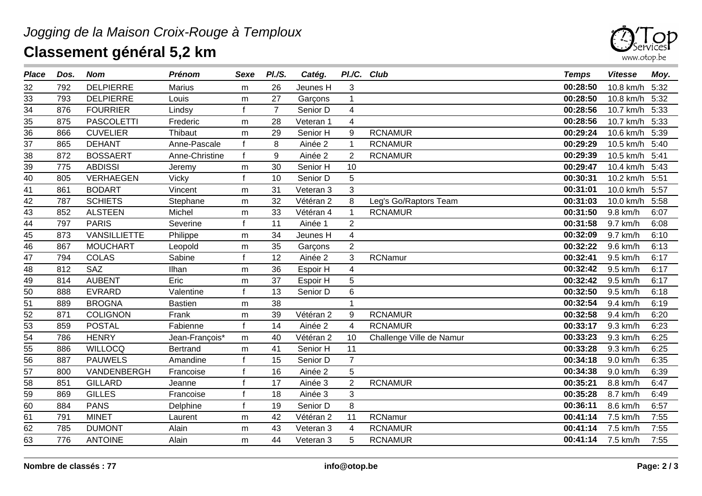

| <b>Place</b>                       | Dos. | <b>Nom</b>          | Prénom          | Sexe         | <b>PI./S.</b>  | Catég.    | PI./C. Club    |                          | <b>Temps</b> | <b>Vitesse</b> | Moy. |
|------------------------------------|------|---------------------|-----------------|--------------|----------------|-----------|----------------|--------------------------|--------------|----------------|------|
| 32                                 | 792  | <b>DELPIERRE</b>    | Marius          | m            | 26             | Jeunes H  | 3              |                          | 00:28:50     | 10.8 km/h      | 5:32 |
| 33                                 | 793  | <b>DELPIERRE</b>    | Louis           | m            | 27             | Garçons   | $\mathbf{1}$   |                          | 00:28:50     | 10.8 km/h      | 5:32 |
| 34                                 | 876  | <b>FOURRIER</b>     | Lindsy          | $\mathbf{f}$ | $\overline{7}$ | Senior D  | 4              |                          | 00:28:56     | 10.7 km/h      | 5:33 |
| 35                                 | 875  | <b>PASCOLETTI</b>   | Frederic        | m            | 28             | Veteran 1 | $\overline{4}$ |                          | 00:28:56     | 10.7 km/h      | 5:33 |
| 36                                 | 866  | <b>CUVELIER</b>     | Thibaut         | m            | 29             | Senior H  | 9              | <b>RCNAMUR</b>           | 00:29:24     | 10.6 km/h      | 5:39 |
| 37                                 | 865  | <b>DEHANT</b>       | Anne-Pascale    |              | 8              | Ainée 2   | $\mathbf 1$    | <b>RCNAMUR</b>           | 00:29:29     | 10.5 km/h      | 5:40 |
| 38                                 | 872  | <b>BOSSAERT</b>     | Anne-Christine  | $\mathbf{f}$ | 9              | Ainée 2   | $\overline{2}$ | <b>RCNAMUR</b>           | 00:29:39     | 10.5 km/h      | 5:41 |
| $\overline{39}$                    | 775  | <b>ABDISSI</b>      | Jeremy          | m            | 30             | Senior H  | 10             |                          | 00:29:47     | 10.4 km/h      | 5:43 |
| $\overline{40}$                    | 805  | <b>VERHAEGEN</b>    | Vicky           | f            | 10             | Senior D  | 5              |                          | 00:30:31     | 10.2 km/h      | 5:51 |
| 41                                 | 861  | <b>BODART</b>       | Vincent         | m            | 31             | Veteran 3 | 3              |                          | 00:31:01     | 10.0 km/h      | 5:57 |
| $\overline{42}$                    | 787  | <b>SCHIETS</b>      | Stephane        | m            | 32             | Vétéran 2 | 8              | Leg's Go/Raptors Team    | 00:31:03     | 10.0 km/h      | 5:58 |
| 43                                 | 852  | <b>ALSTEEN</b>      | Michel          | m            | 33             | Vétéran 4 | $\mathbf{1}$   | <b>RCNAMUR</b>           | 00:31:50     | 9.8 km/h       | 6:07 |
| $\overline{44}$                    | 797  | <b>PARIS</b>        | Severine        | $\mathsf{f}$ | 11             | Ainée 1   | $\overline{2}$ |                          | 00:31:58     | 9.7 km/h       | 6:08 |
| 45                                 | 873  | <b>VANSILLIETTE</b> | Philippe        | m            | 34             | Jeunes H  | 4              |                          | 00:32:09     | 9.7 km/h       | 6:10 |
| $\overline{46}$                    | 867  | <b>MOUCHART</b>     | Leopold         | m            | 35             | Garçons   | $\overline{2}$ |                          | 00:32:22     | 9.6 km/h       | 6:13 |
| 47                                 | 794  | <b>COLAS</b>        | Sabine          | $\mathsf{f}$ | 12             | Ainée 2   | 3              | <b>RCNamur</b>           | 00:32:41     | 9.5 km/h       | 6:17 |
| 48                                 | 812  | SAZ                 | Ilhan           | m            | 36             | Espoir H  | 4              |                          | 00:32:42     | 9.5 km/h       | 6:17 |
| $\frac{49}{ }$                     | 814  | <b>AUBENT</b>       | Eric            | m            | 37             | Espoir H  | 5              |                          | 00:32:42     | 9.5 km/h       | 6:17 |
| $\frac{50}{51}$                    | 888  | <b>EVRARD</b>       | Valentine       | f            | 13             | Senior D  | 6              |                          | 00:32:50     | 9.5 km/h       | 6:18 |
|                                    | 889  | <b>BROGNA</b>       | <b>Bastien</b>  | m            | 38             |           | 1              |                          | 00:32:54     | 9.4 km/h       | 6:19 |
| $\overline{52}$                    | 871  | <b>COLIGNON</b>     | Frank           | m            | 39             | Vétéran 2 | 9              | <b>RCNAMUR</b>           | 00:32:58     | 9.4 km/h       | 6:20 |
|                                    | 859  | <b>POSTAL</b>       | Fabienne        | $\mathbf{f}$ | 14             | Ainée 2   | 4              | <b>RCNAMUR</b>           | 00:33:17     | 9.3 km/h       | 6:23 |
| $\frac{53}{54}$<br>$\frac{54}{55}$ | 786  | <b>HENRY</b>        | Jean-François*  | m            | 40             | Vétéran 2 | 10             | Challenge Ville de Namur | 00:33:23     | 9.3 km/h       | 6:25 |
|                                    | 886  | <b>WILLOCQ</b>      | <b>Bertrand</b> | m            | 41             | Senior H  | 11             |                          | 00:33:28     | 9.3 km/h       | 6:25 |
| $\overline{56}$                    | 887  | <b>PAUWELS</b>      | Amandine        |              | 15             | Senior D  | $\overline{7}$ |                          | 00:34:18     | 9.0 km/h       | 6:35 |
| $\frac{57}{58}$                    | 800  | VANDENBERGH         | Francoise       |              | 16             | Ainée 2   | 5              |                          | 00:34:38     | 9.0 km/h       | 6:39 |
|                                    | 851  | <b>GILLARD</b>      | Jeanne          |              | 17             | Ainée 3   | $\overline{2}$ | <b>RCNAMUR</b>           | 00:35:21     | 8.8 km/h       | 6:47 |
| 59                                 | 869  | <b>GILLES</b>       | Francoise       |              | 18             | Ainée 3   | 3              |                          | 00:35:28     | 8.7 km/h       | 6:49 |
| 60                                 | 884  | <b>PANS</b>         | Delphine        | $\mathsf{f}$ | 19             | Senior D  | 8              |                          | 00:36:11     | 8.6 km/h       | 6:57 |
| 61                                 | 791  | <b>MINET</b>        | Laurent         | m            | 42             | Vétéran 2 | 11             | <b>RCNamur</b>           | 00:41:14     | 7.5 km/h       | 7:55 |
| 62                                 | 785  | <b>DUMONT</b>       | Alain           | m            | 43             | Veteran 3 | 4              | <b>RCNAMUR</b>           | 00:41:14     | 7.5 km/h       | 7:55 |
| 63                                 | 776  | <b>ANTOINE</b>      | Alain           | m            | 44             | Veteran 3 | 5              | <b>RCNAMUR</b>           | 00:41:14     | 7.5 km/h       | 7:55 |